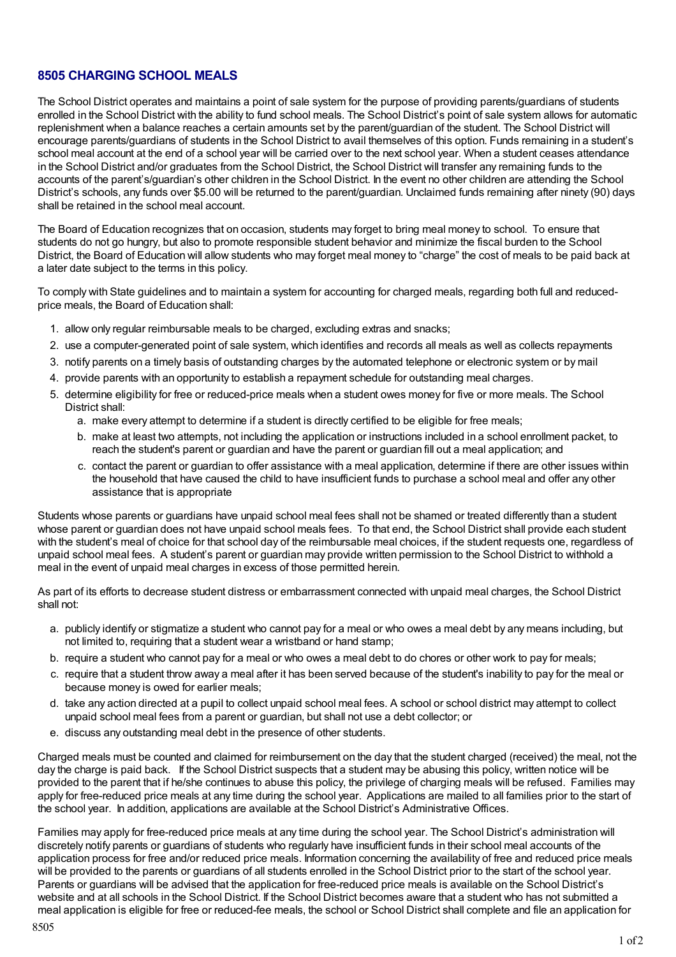# **8505 CHARGING SCHOOL MEALS**

The School District operates and maintains a point of sale system for the purpose of providing parents/guardians of students enrolled in the School District with the ability to fund school meals. The School District's point of sale system allows for automatic replenishment when a balance reaches a certain amounts set by the parent/guardian of the student. The School District will encourage parents/guardians of students in the School District to avail themselves of this option. Funds remaining in a student's school meal account at the end of a school year will be carried over to the next school year. When a student ceases attendance in the School District and/or graduates from the School District, the School District will transfer any remaining funds to the accounts of the parent's/guardian's other children in the School District. In the event no other children are attending the School District's schools, any funds over \$5.00 will be returned to the parent/guardian. Unclaimed funds remaining after ninety (90) days shall be retained in the school meal account.

The Board of Education recognizes that on occasion, students may forget to bring meal money to school. To ensure that students do not go hungry, but also to promote responsible student behavior and minimize the fiscal burden to the School District, the Board of Education will allow students who may forget meal money to "charge" the cost of meals to be paid back at a later date subject to the terms in this policy.

To comply with State guidelines and to maintain a system for accounting for charged meals, regarding both full and reducedprice meals, the Board of Education shall:

- 1. allow only regular reimbursable meals to be charged, excluding extras and snacks;
- 2. use a computer-generated point of sale system, which identifies and records all meals as well as collects repayments
- 3. notify parents on a timely basis of outstanding charges by the automated telephone or electronic system or by mail
- 4. provide parents with an opportunity to establish a repayment schedule for outstanding meal charges.
- 5. determine eligibility for free or reduced-price meals when a student owes money for five or more meals. The School District shall:
	- a. make every attempt to determine if a student is directly certified to be eligible for free meals;
	- b. make at least two attempts, not including the application or instructions included in a school enrollment packet, to reach the student's parent or guardian and have the parent or guardian fill out a meal application; and
	- c. contact the parent or guardian to offer assistance with a meal application, determine if there are other issues within the household that have caused the child to have insufficient funds to purchase a school meal and offer any other assistance that is appropriate

Students whose parents or guardians have unpaid school meal fees shall not be shamed or treated differently than a student whose parent or guardian does not have unpaid school meals fees. To that end, the School District shall provide each student with the student's meal of choice for that school day of the reimbursable meal choices, if the student requests one, regardless of unpaid school meal fees. A student's parent or guardian may provide written permission to the School District to withhold a meal in the event of unpaid meal charges in excess of those permitted herein.

As part of its efforts to decrease student distress or embarrassment connected with unpaid meal charges, the School District shall not:

- a. publicly identify or stigmatize a student who cannot pay for a meal or who owes a meal debt by any means including, but not limited to, requiring that a student wear a wristband or hand stamp;
- b. require a student who cannot pay for a meal or who owes a meal debt to do chores or other work to pay for meals;
- c. require that a student throw away a meal after it has been served because of the student's inability to pay for the meal or because money is owed for earlier meals;
- d. take any action directed at a pupil to collect unpaid school meal fees. A school or school district may attempt to collect unpaid school meal fees from a parent or guardian, but shall not use a debt collector; or
- e. discuss any outstanding meal debt in the presence of other students.

Charged meals must be counted and claimed for reimbursement on the day that the student charged (received) the meal, not the day the charge is paid back. If the School District suspects that a student may be abusing this policy, written notice will be provided to the parent that if he/she continues to abuse this policy, the privilege of charging meals will be refused. Families may apply for free-reduced price meals at any time during the school year. Applications are mailed to all families prior to the start of the school year. In addition, applications are available at the School District's Administrative Offices.

Families may apply for free-reduced price meals at any time during the school year. The School District's administration will discretely notify parents or guardians of students who regularly have insufficient funds in their school meal accounts of the application process for free and/or reduced price meals. Information concerning the availability of free and reduced price meals will be provided to the parents or guardians of all students enrolled in the School District prior to the start of the school year. Parents or guardians will be advised that the application for free-reduced price meals is available on the School District's website and at all schools in the School District. If the School District becomes aware that a student who has not submitted a meal application is eligible for free or reduced-fee meals, the school or School District shall complete and file an application for